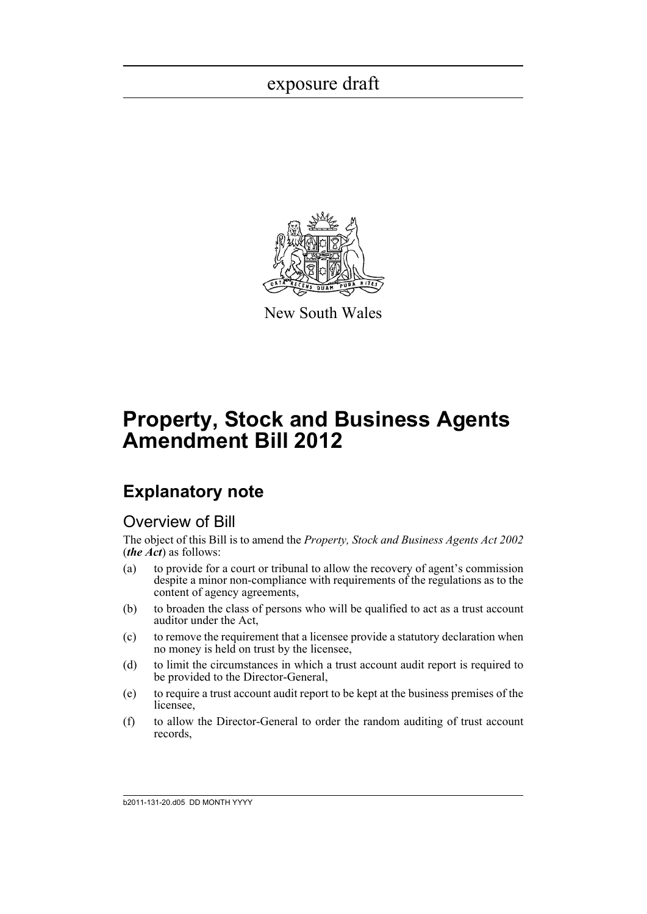

New South Wales

# **Property, Stock and Business Agents Amendment Bill 2012**

## **Explanatory note**

### Overview of Bill

The object of this Bill is to amend the *Property, Stock and Business Agents Act 2002* (*the Act*) as follows:

- (a) to provide for a court or tribunal to allow the recovery of agent's commission despite a minor non-compliance with requirements of the regulations as to the content of agency agreements,
- (b) to broaden the class of persons who will be qualified to act as a trust account auditor under the Act,
- (c) to remove the requirement that a licensee provide a statutory declaration when no money is held on trust by the licensee,
- (d) to limit the circumstances in which a trust account audit report is required to be provided to the Director-General,
- (e) to require a trust account audit report to be kept at the business premises of the licensee,
- (f) to allow the Director-General to order the random auditing of trust account records,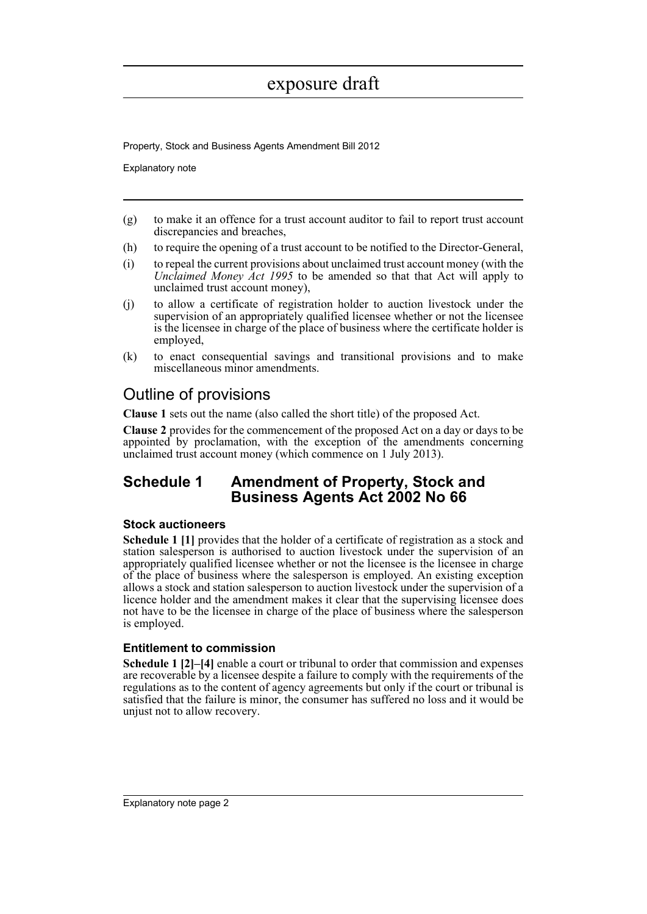Property, Stock and Business Agents Amendment Bill 2012

Explanatory note

- (g) to make it an offence for a trust account auditor to fail to report trust account discrepancies and breaches,
- (h) to require the opening of a trust account to be notified to the Director-General,
- (i) to repeal the current provisions about unclaimed trust account money (with the *Unclaimed Money Act 1995* to be amended so that that Act will apply to unclaimed trust account money),
- (j) to allow a certificate of registration holder to auction livestock under the supervision of an appropriately qualified licensee whether or not the licensee is the licensee in charge of the place of business where the certificate holder is employed,
- (k) to enact consequential savings and transitional provisions and to make miscellaneous minor amendments.

## Outline of provisions

**Clause 1** sets out the name (also called the short title) of the proposed Act.

**Clause 2** provides for the commencement of the proposed Act on a day or days to be appointed by proclamation, with the exception of the amendments concerning unclaimed trust account money (which commence on 1 July 2013).

### **Schedule 1 Amendment of Property, Stock and Business Agents Act 2002 No 66**

### **Stock auctioneers**

**Schedule 1 [1]** provides that the holder of a certificate of registration as a stock and station salesperson is authorised to auction livestock under the supervision of an appropriately qualified licensee whether or not the licensee is the licensee in charge of the place of business where the salesperson is employed. An existing exception allows a stock and station salesperson to auction livestock under the supervision of a licence holder and the amendment makes it clear that the supervising licensee does not have to be the licensee in charge of the place of business where the salesperson is employed.

### **Entitlement to commission**

**Schedule 1 [2]–[4]** enable a court or tribunal to order that commission and expenses are recoverable by a licensee despite a failure to comply with the requirements of the regulations as to the content of agency agreements but only if the court or tribunal is satisfied that the failure is minor, the consumer has suffered no loss and it would be unjust not to allow recovery.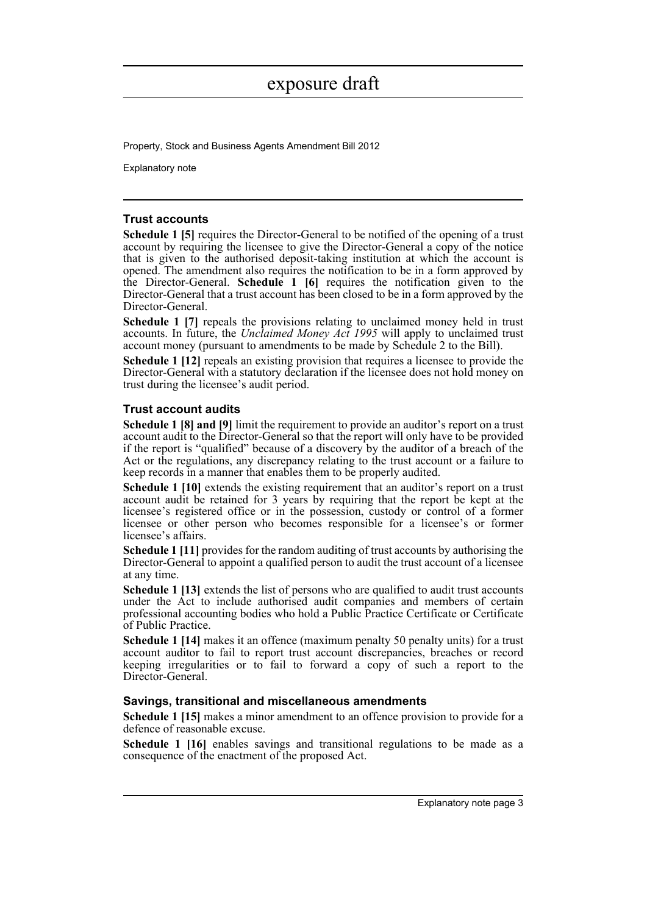Property, Stock and Business Agents Amendment Bill 2012

Explanatory note

### **Trust accounts**

**Schedule 1 [5]** requires the Director-General to be notified of the opening of a trust account by requiring the licensee to give the Director-General a copy of the notice that is given to the authorised deposit-taking institution at which the account is opened. The amendment also requires the notification to be in a form approved by the Director-General. **Schedule 1 [6]** requires the notification given to the Director-General that a trust account has been closed to be in a form approved by the Director-General.

**Schedule 1** [7] repeals the provisions relating to unclaimed money held in trust accounts. In future, the *Unclaimed Money Act 1995* will apply to unclaimed trust account money (pursuant to amendments to be made by Schedule 2 to the Bill).

**Schedule 1 [12]** repeals an existing provision that requires a licensee to provide the Director-General with a statutory declaration if the licensee does not hold money on trust during the licensee's audit period.

### **Trust account audits**

**Schedule 1 [8] and [9]** limit the requirement to provide an auditor's report on a trust account audit to the Director-General so that the report will only have to be provided if the report is "qualified" because of a discovery by the auditor of a breach of the Act or the regulations, any discrepancy relating to the trust account or a failure to keep records in a manner that enables them to be properly audited.

**Schedule 1 [10]** extends the existing requirement that an auditor's report on a trust account audit be retained for 3 years by requiring that the report be kept at the licensee's registered office or in the possession, custody or control of a former licensee or other person who becomes responsible for a licensee's or former licensee's affairs.

**Schedule 1 [11]** provides for the random auditing of trust accounts by authorising the Director-General to appoint a qualified person to audit the trust account of a licensee at any time.

**Schedule 1 [13]** extends the list of persons who are qualified to audit trust accounts under the Act to include authorised audit companies and members of certain professional accounting bodies who hold a Public Practice Certificate or Certificate of Public Practice.

**Schedule 1 [14]** makes it an offence (maximum penalty 50 penalty units) for a trust account auditor to fail to report trust account discrepancies, breaches or record keeping irregularities or to fail to forward a copy of such a report to the Director-General.

#### **Savings, transitional and miscellaneous amendments**

**Schedule 1 [15]** makes a minor amendment to an offence provision to provide for a defence of reasonable excuse.

**Schedule 1 [16]** enables savings and transitional regulations to be made as a consequence of the enactment of the proposed Act.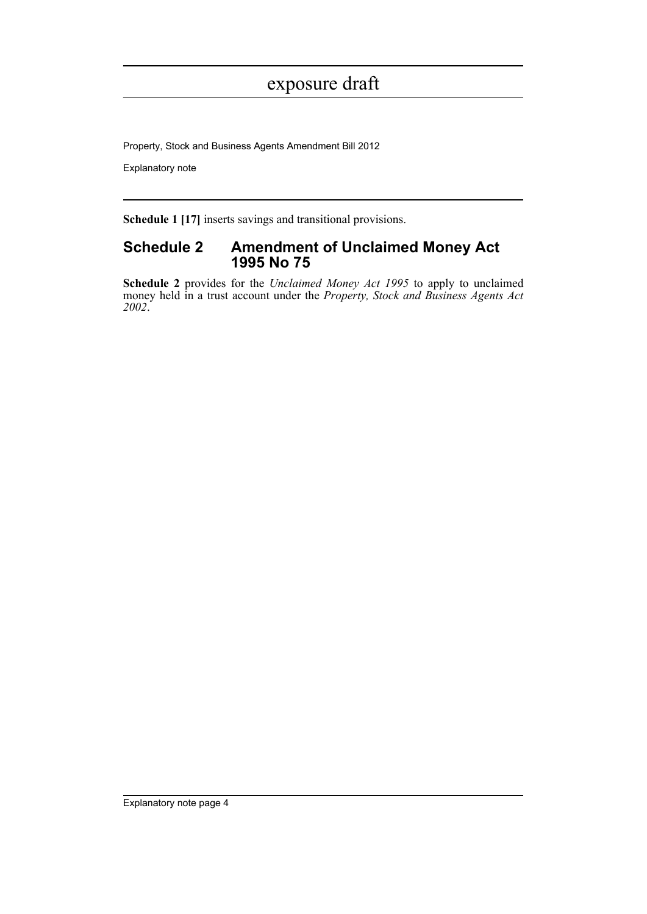Property, Stock and Business Agents Amendment Bill 2012

Explanatory note

**Schedule 1 [17]** inserts savings and transitional provisions.

### **Schedule 2 Amendment of Unclaimed Money Act 1995 No 75**

**Schedule 2** provides for the *Unclaimed Money Act 1995* to apply to unclaimed money held in a trust account under the *Property, Stock and Business Agents Act 2002*.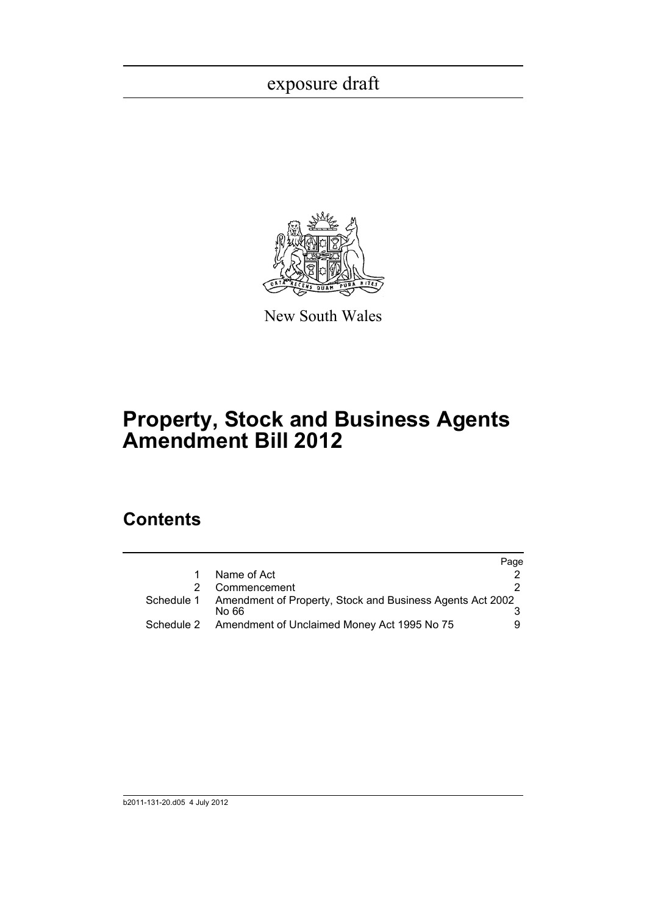

New South Wales

# **Property, Stock and Business Agents Amendment Bill 2012**

## **Contents**

|    |                                                                                | Page |
|----|--------------------------------------------------------------------------------|------|
| 1. | Name of Act                                                                    |      |
|    | Commencement                                                                   |      |
|    | Schedule 1 Amendment of Property, Stock and Business Agents Act 2002<br>No 66. |      |
|    | Schedule 2 Amendment of Unclaimed Money Act 1995 No 75                         | 9    |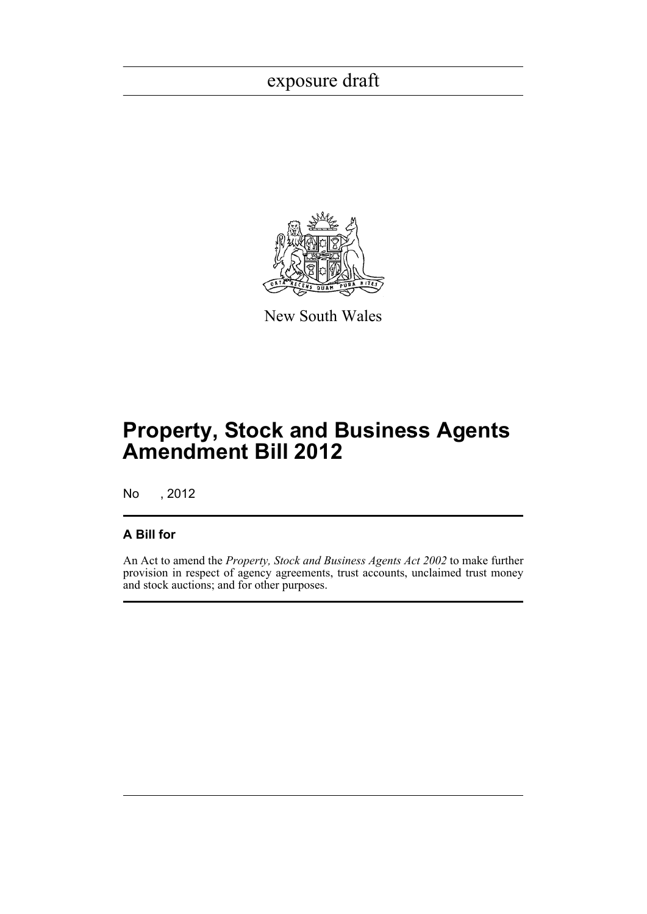

New South Wales

# **Property, Stock and Business Agents Amendment Bill 2012**

No , 2012

### **A Bill for**

An Act to amend the *Property, Stock and Business Agents Act 2002* to make further provision in respect of agency agreements, trust accounts, unclaimed trust money and stock auctions; and for other purposes.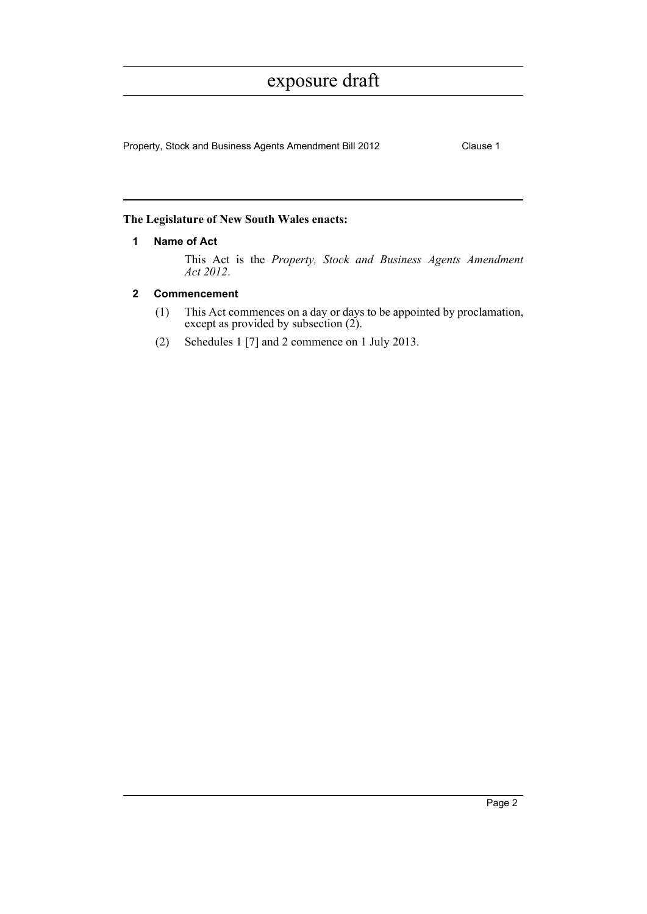Property, Stock and Business Agents Amendment Bill 2012 Clause 1

### <span id="page-6-0"></span>**The Legislature of New South Wales enacts:**

### **1 Name of Act**

This Act is the *Property, Stock and Business Agents Amendment Act 2012*.

### <span id="page-6-1"></span>**2 Commencement**

- (1) This Act commences on a day or days to be appointed by proclamation, except as provided by subsection (2).
- (2) Schedules 1 [7] and 2 commence on 1 July 2013.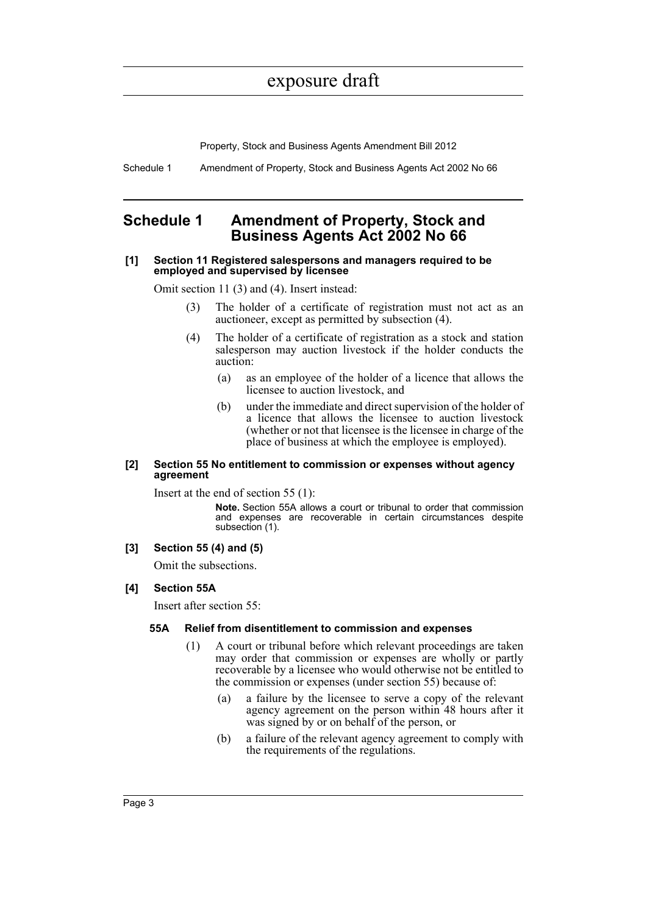Property, Stock and Business Agents Amendment Bill 2012

Schedule 1 Amendment of Property, Stock and Business Agents Act 2002 No 66

### <span id="page-7-0"></span>**Schedule 1 Amendment of Property, Stock and Business Agents Act 2002 No 66**

#### **[1] Section 11 Registered salespersons and managers required to be employed and supervised by licensee**

Omit section 11 (3) and (4). Insert instead:

- (3) The holder of a certificate of registration must not act as an auctioneer, except as permitted by subsection (4).
- (4) The holder of a certificate of registration as a stock and station salesperson may auction livestock if the holder conducts the auction:
	- (a) as an employee of the holder of a licence that allows the licensee to auction livestock, and
	- (b) under the immediate and direct supervision of the holder of a licence that allows the licensee to auction livestock (whether or not that licensee is the licensee in charge of the place of business at which the employee is employed).

#### **[2] Section 55 No entitlement to commission or expenses without agency agreement**

Insert at the end of section 55 (1):

**Note.** Section 55A allows a court or tribunal to order that commission and expenses are recoverable in certain circumstances despite subsection (1).

#### **[3] Section 55 (4) and (5)**

Omit the subsections.

#### **[4] Section 55A**

Insert after section 55:

#### **55A Relief from disentitlement to commission and expenses**

- (1) A court or tribunal before which relevant proceedings are taken may order that commission or expenses are wholly or partly recoverable by a licensee who would otherwise not be entitled to the commission or expenses (under section 55) because of:
	- (a) a failure by the licensee to serve a copy of the relevant agency agreement on the person within 48 hours after it was signed by or on behalf of the person, or
	- (b) a failure of the relevant agency agreement to comply with the requirements of the regulations.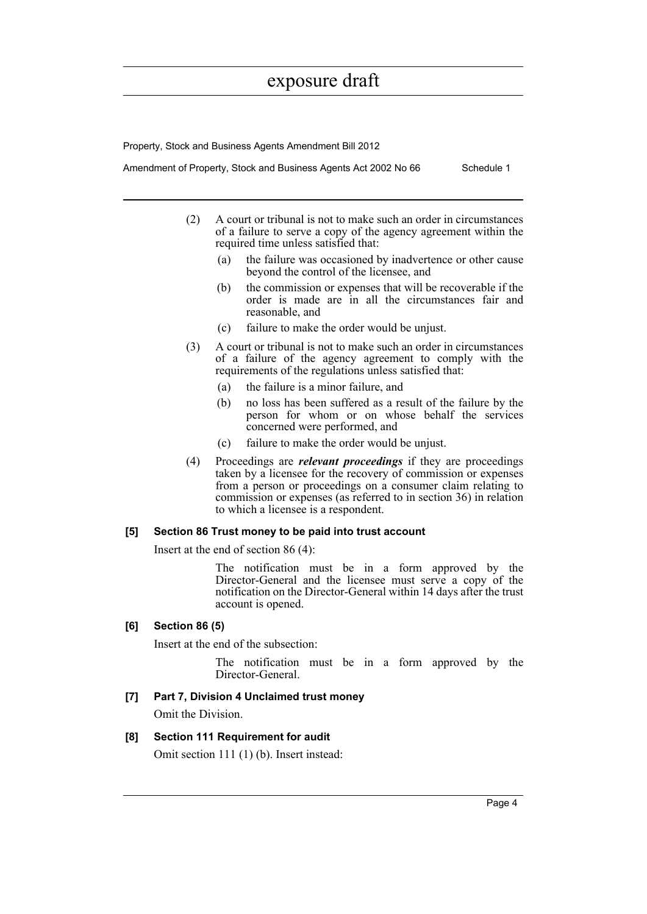Property, Stock and Business Agents Amendment Bill 2012

Amendment of Property, Stock and Business Agents Act 2002 No 66 Schedule 1

- (2) A court or tribunal is not to make such an order in circumstances of a failure to serve a copy of the agency agreement within the required time unless satisfied that:
	- (a) the failure was occasioned by inadvertence or other cause beyond the control of the licensee, and
	- (b) the commission or expenses that will be recoverable if the order is made are in all the circumstances fair and reasonable, and
	- (c) failure to make the order would be unjust.
- (3) A court or tribunal is not to make such an order in circumstances of a failure of the agency agreement to comply with the requirements of the regulations unless satisfied that:
	- (a) the failure is a minor failure, and
	- (b) no loss has been suffered as a result of the failure by the person for whom or on whose behalf the services concerned were performed, and
	- (c) failure to make the order would be unjust.
- (4) Proceedings are *relevant proceedings* if they are proceedings taken by a licensee for the recovery of commission or expenses from a person or proceedings on a consumer claim relating to commission or expenses (as referred to in section 36) in relation to which a licensee is a respondent.

#### **[5] Section 86 Trust money to be paid into trust account**

Insert at the end of section 86 (4):

The notification must be in a form approved by the Director-General and the licensee must serve a copy of the notification on the Director-General within 14 days after the trust account is opened.

### **[6] Section 86 (5)**

Insert at the end of the subsection:

The notification must be in a form approved by the Director-General.

### **[7] Part 7, Division 4 Unclaimed trust money**

Omit the Division.

### **[8] Section 111 Requirement for audit**

Omit section 111 (1) (b). Insert instead: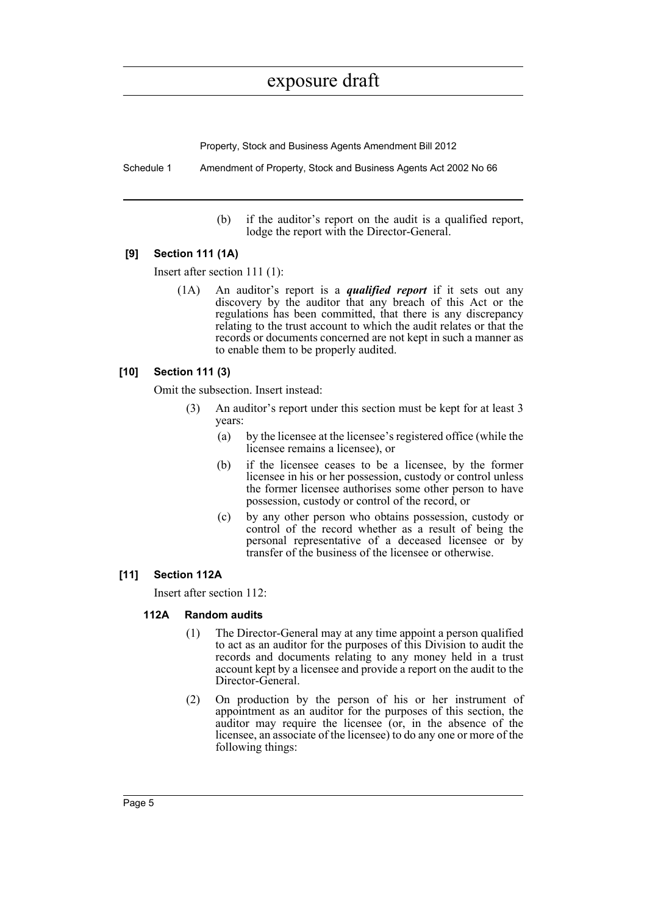Property, Stock and Business Agents Amendment Bill 2012

Schedule 1 Amendment of Property, Stock and Business Agents Act 2002 No 66

(b) if the auditor's report on the audit is a qualified report, lodge the report with the Director-General.

### **[9] Section 111 (1A)**

Insert after section 111 (1):

(1A) An auditor's report is a *qualified report* if it sets out any discovery by the auditor that any breach of this Act or the regulations has been committed, that there is any discrepancy relating to the trust account to which the audit relates or that the records or documents concerned are not kept in such a manner as to enable them to be properly audited.

### **[10] Section 111 (3)**

Omit the subsection. Insert instead:

- (3) An auditor's report under this section must be kept for at least 3 years:
	- (a) by the licensee at the licensee's registered office (while the licensee remains a licensee), or
	- (b) if the licensee ceases to be a licensee, by the former licensee in his or her possession, custody or control unless the former licensee authorises some other person to have possession, custody or control of the record, or
	- (c) by any other person who obtains possession, custody or control of the record whether as a result of being the personal representative of a deceased licensee or by transfer of the business of the licensee or otherwise.

### **[11] Section 112A**

Insert after section 112:

### **112A Random audits**

- (1) The Director-General may at any time appoint a person qualified to act as an auditor for the purposes of this Division to audit the records and documents relating to any money held in a trust account kept by a licensee and provide a report on the audit to the Director-General.
- (2) On production by the person of his or her instrument of appointment as an auditor for the purposes of this section, the auditor may require the licensee (or, in the absence of the licensee, an associate of the licensee) to do any one or more of the following things: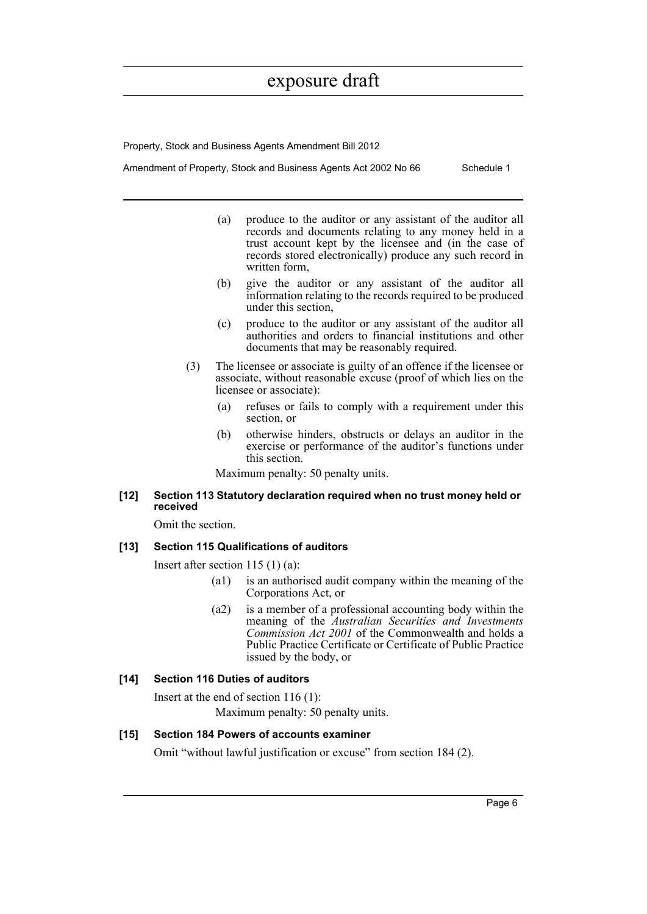Property, Stock and Business Agents Amendment Bill 2012

Amendment of Property, Stock and Business Agents Act 2002 No 66 Schedule 1

- (a) produce to the auditor or any assistant of the auditor all records and documents relating to any money held in a trust account kept by the licensee and (in the case of records stored electronically) produce any such record in written form,
- (b) give the auditor or any assistant of the auditor all information relating to the records required to be produced under this section,
- (c) produce to the auditor or any assistant of the auditor all authorities and orders to financial institutions and other documents that may be reasonably required.
- (3) The licensee or associate is guilty of an offence if the licensee or associate, without reasonable excuse (proof of which lies on the licensee or associate):
	- (a) refuses or fails to comply with a requirement under this section, or
	- (b) otherwise hinders, obstructs or delays an auditor in the exercise or performance of the auditor's functions under this section.

Maximum penalty: 50 penalty units.

### **[12] Section 113 Statutory declaration required when no trust money held or received**

Omit the section.

#### **[13] Section 115 Qualifications of auditors**

Insert after section 115 (1) (a):

- (a1) is an authorised audit company within the meaning of the Corporations Act, or
- (a2) is a member of a professional accounting body within the meaning of the *Australian Securities and Investments Commission Act 2001* of the Commonwealth and holds a Public Practice Certificate or Certificate of Public Practice issued by the body, or

#### **[14] Section 116 Duties of auditors**

Insert at the end of section 116 (1): Maximum penalty: 50 penalty units.

### **[15] Section 184 Powers of accounts examiner**

Omit "without lawful justification or excuse" from section 184 (2).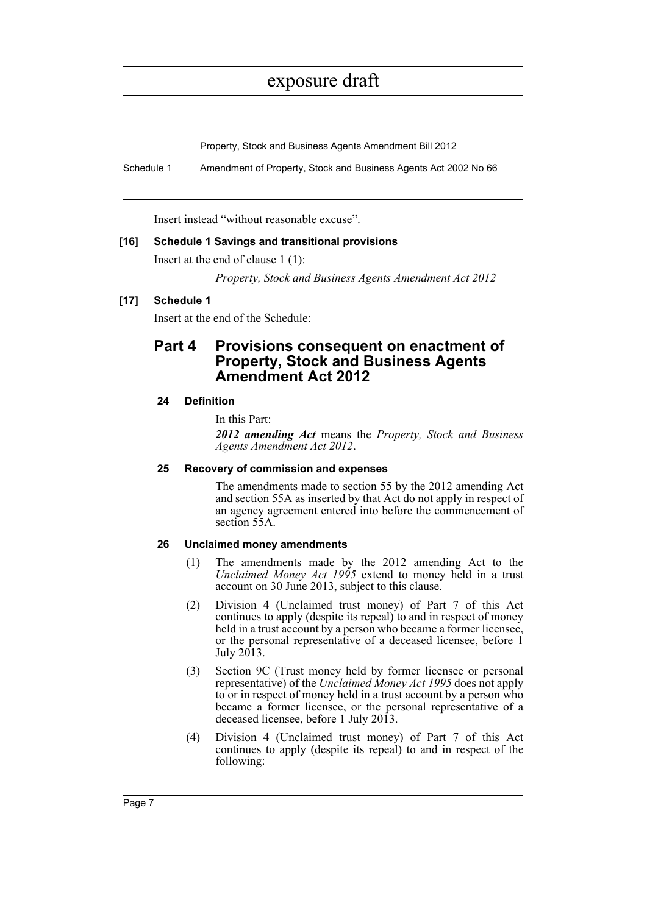Property, Stock and Business Agents Amendment Bill 2012

Schedule 1 Amendment of Property, Stock and Business Agents Act 2002 No 66

Insert instead "without reasonable excuse".

### **[16] Schedule 1 Savings and transitional provisions**

Insert at the end of clause 1 (1):

*Property, Stock and Business Agents Amendment Act 2012*

### **[17] Schedule 1**

Insert at the end of the Schedule:

### **Part 4 Provisions consequent on enactment of Property, Stock and Business Agents Amendment Act 2012**

### **24 Definition**

In this Part:

*2012 amending Act* means the *Property, Stock and Business Agents Amendment Act 2012*.

### **25 Recovery of commission and expenses**

The amendments made to section 55 by the 2012 amending Act and section 55A as inserted by that Act do not apply in respect of an agency agreement entered into before the commencement of section 55A.

### **26 Unclaimed money amendments**

- (1) The amendments made by the 2012 amending Act to the *Unclaimed Money Act 1995* extend to money held in a trust account on 30 June 2013, subject to this clause.
- (2) Division 4 (Unclaimed trust money) of Part 7 of this Act continues to apply (despite its repeal) to and in respect of money held in a trust account by a person who became a former licensee, or the personal representative of a deceased licensee, before 1 July 2013.
- (3) Section 9C (Trust money held by former licensee or personal representative) of the *Unclaimed Money Act 1995* does not apply to or in respect of money held in a trust account by a person who became a former licensee, or the personal representative of a deceased licensee, before 1 July 2013.
- (4) Division 4 (Unclaimed trust money) of Part 7 of this Act continues to apply (despite its repeal) to and in respect of the following: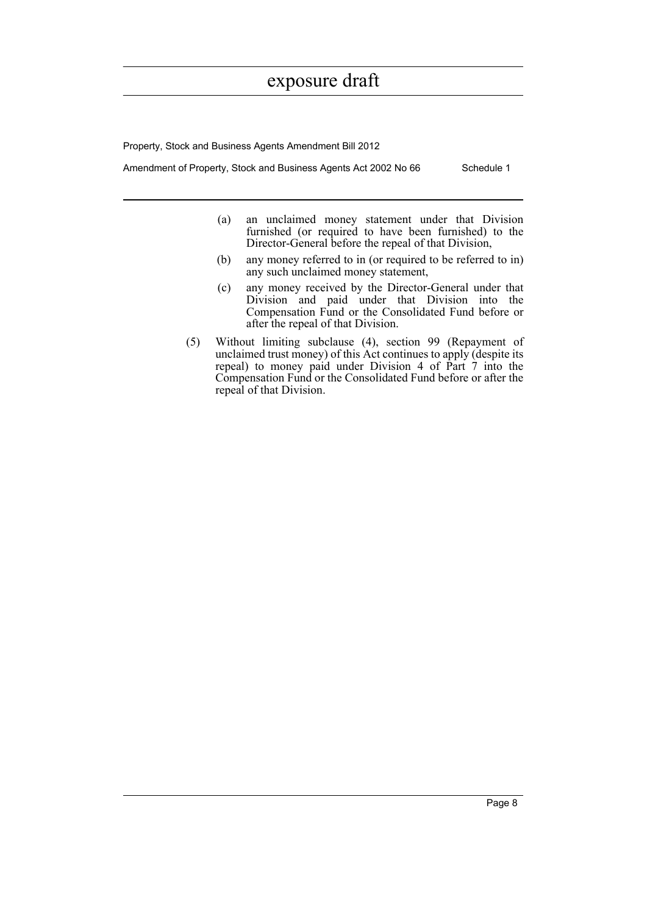Property, Stock and Business Agents Amendment Bill 2012

Amendment of Property, Stock and Business Agents Act 2002 No 66 Schedule 1

- (a) an unclaimed money statement under that Division furnished (or required to have been furnished) to the Director-General before the repeal of that Division,
- (b) any money referred to in (or required to be referred to in) any such unclaimed money statement,
- (c) any money received by the Director-General under that Division and paid under that Division into the Compensation Fund or the Consolidated Fund before or after the repeal of that Division.
- (5) Without limiting subclause (4), section 99 (Repayment of unclaimed trust money) of this Act continues to apply (despite its repeal) to money paid under Division 4 of Part  $\hat{7}$  into the Compensation Fund or the Consolidated Fund before or after the repeal of that Division.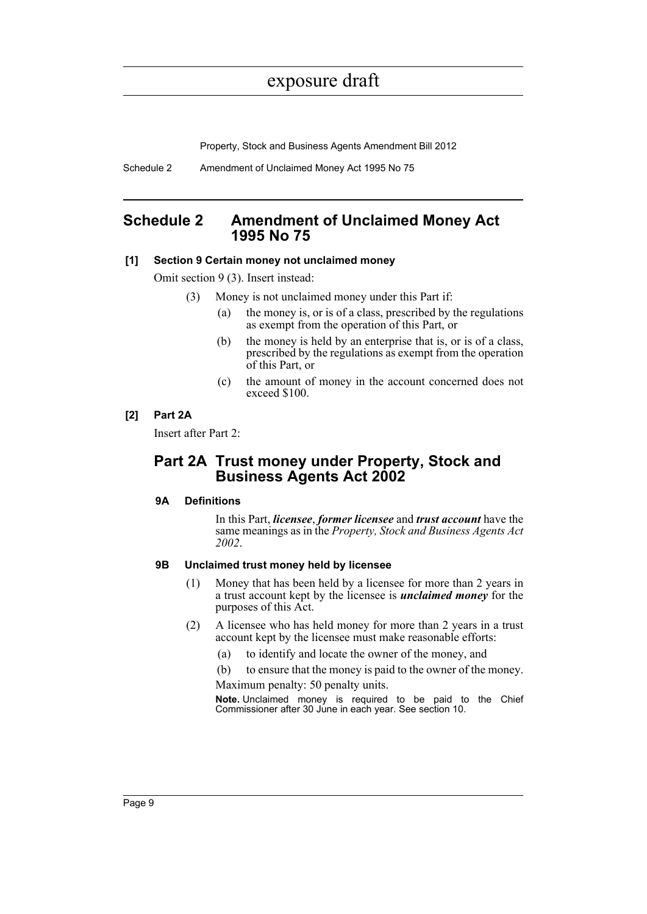Property, Stock and Business Agents Amendment Bill 2012

Schedule 2 Amendment of Unclaimed Money Act 1995 No 75

### <span id="page-13-0"></span>**Schedule 2 Amendment of Unclaimed Money Act 1995 No 75**

### **[1] Section 9 Certain money not unclaimed money**

Omit section 9 (3). Insert instead:

- (3) Money is not unclaimed money under this Part if:
	- (a) the money is, or is of a class, prescribed by the regulations as exempt from the operation of this Part, or
	- (b) the money is held by an enterprise that is, or is of a class, prescribed by the regulations as exempt from the operation of this Part, or
	- (c) the amount of money in the account concerned does not exceed \$100.

### **[2] Part 2A**

Insert after Part 2:

### **Part 2A Trust money under Property, Stock and Business Agents Act 2002**

### **9A Definitions**

In this Part, *licensee*, *former licensee* and *trust account* have the same meanings as in the *Property, Stock and Business Agents Act 2002*.

### **9B Unclaimed trust money held by licensee**

- (1) Money that has been held by a licensee for more than 2 years in a trust account kept by the licensee is *unclaimed money* for the purposes of this Act.
- (2) A licensee who has held money for more than 2 years in a trust account kept by the licensee must make reasonable efforts:
	- (a) to identify and locate the owner of the money, and
	- (b) to ensure that the money is paid to the owner of the money.

Maximum penalty: 50 penalty units.

**Note.** Unclaimed money is required to be paid to the Chief Commissioner after 30 June in each year. See section 10.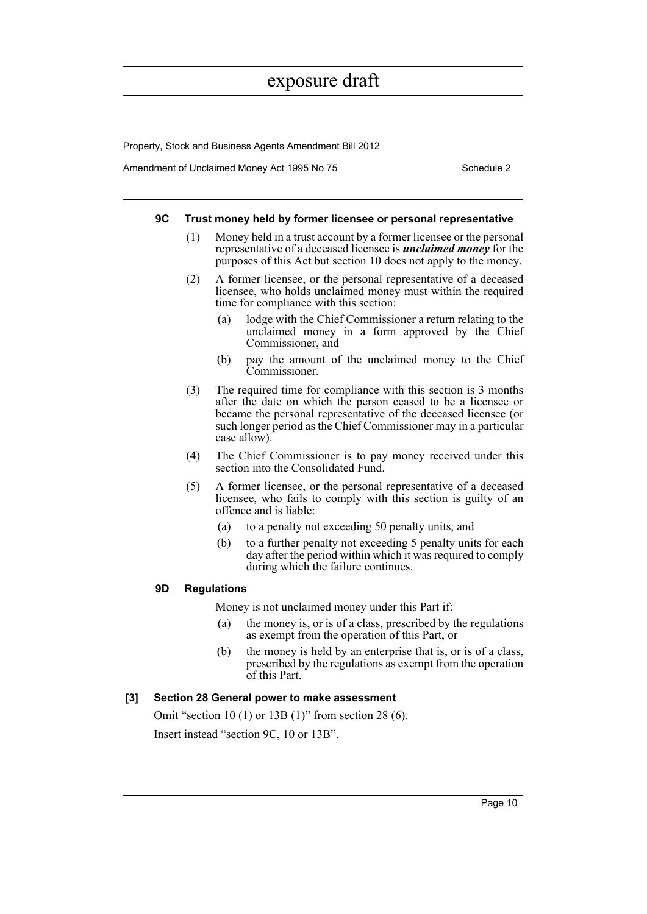Property, Stock and Business Agents Amendment Bill 2012

Amendment of Unclaimed Money Act 1995 No 75 Schedule 2

#### **9C Trust money held by former licensee or personal representative**

- (1) Money held in a trust account by a former licensee or the personal representative of a deceased licensee is *unclaimed money* for the purposes of this Act but section 10 does not apply to the money.
- (2) A former licensee, or the personal representative of a deceased licensee, who holds unclaimed money must within the required time for compliance with this section:
	- (a) lodge with the Chief Commissioner a return relating to the unclaimed money in a form approved by the Chief Commissioner, and
	- (b) pay the amount of the unclaimed money to the Chief Commissioner.
- (3) The required time for compliance with this section is 3 months after the date on which the person ceased to be a licensee or became the personal representative of the deceased licensee (or such longer period as the Chief Commissioner may in a particular case allow).
- (4) The Chief Commissioner is to pay money received under this section into the Consolidated Fund.
- (5) A former licensee, or the personal representative of a deceased licensee, who fails to comply with this section is guilty of an offence and is liable:
	- (a) to a penalty not exceeding 50 penalty units, and
	- (b) to a further penalty not exceeding 5 penalty units for each day after the period within which it was required to comply during which the failure continues.

### **9D Regulations**

Money is not unclaimed money under this Part if:

- (a) the money is, or is of a class, prescribed by the regulations as exempt from the operation of this Part, or
- (b) the money is held by an enterprise that is, or is of a class, prescribed by the regulations as exempt from the operation of this Part.

### **[3] Section 28 General power to make assessment**

Omit "section 10 (1) or 13B (1)" from section 28 (6).

Insert instead "section 9C, 10 or 13B".